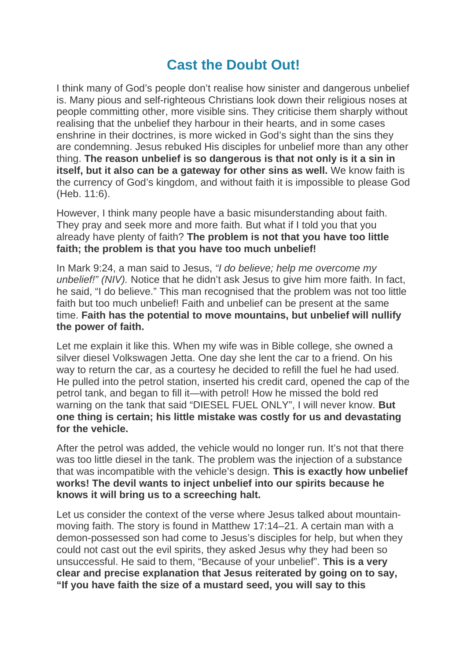## **Cast the Doubt Out!**

I think many of God's people don't realise how sinister and dangerous unbelief is. Many pious and self-righteous Christians look down their religious noses at people committing other, more visible sins. They criticise them sharply without realising that the unbelief they harbour in their hearts, and in some cases enshrine in their doctrines, is more wicked in God's sight than the sins they are condemning. Jesus rebuked His disciples for unbelief more than any other thing. **The reason unbelief is so dangerous is that not only is it a sin in itself, but it also can be a gateway for other sins as well.** We know faith is the currency of God's kingdom, and without faith it is impossible to please God (Heb. 11:6).

However, I think many people have a basic misunderstanding about faith. They pray and seek more and more faith. But what if I told you that you already have plenty of faith? **The problem is not that you have too little faith; the problem is that you have too much unbelief!**

In Mark 9:24, a man said to Jesus, *"I do believe; help me overcome my unbelief!" (NIV).* Notice that he didn't ask Jesus to give him more faith. In fact, he said, "I do believe." This man recognised that the problem was not too little faith but too much unbelief! Faith and unbelief can be present at the same time. **Faith has the potential to move mountains, but unbelief will nullify the power of faith.**

Let me explain it like this. When my wife was in Bible college, she owned a silver diesel Volkswagen Jetta. One day she lent the car to a friend. On his way to return the car, as a courtesy he decided to refill the fuel he had used. He pulled into the petrol station, inserted his credit card, opened the cap of the petrol tank, and began to fill it—with petrol! How he missed the bold red warning on the tank that said "DIESEL FUEL ONLY", I will never know. **But one thing is certain; his little mistake was costly for us and devastating for the vehicle.**

After the petrol was added, the vehicle would no longer run. It's not that there was too little diesel in the tank. The problem was the injection of a substance that was incompatible with the vehicle's design. **This is exactly how unbelief works! The devil wants to inject unbelief into our spirits because he knows it will bring us to a screeching halt.**

Let us consider the context of the verse where Jesus talked about mountainmoving faith. The story is found in Matthew 17:14–21. A certain man with a demon-possessed son had come to Jesus's disciples for help, but when they could not cast out the evil spirits, they asked Jesus why they had been so unsuccessful. He said to them, "Because of your unbelief". **This is a very clear and precise explanation that Jesus reiterated by going on to say, "If you have faith the size of a mustard seed, you will say to this**